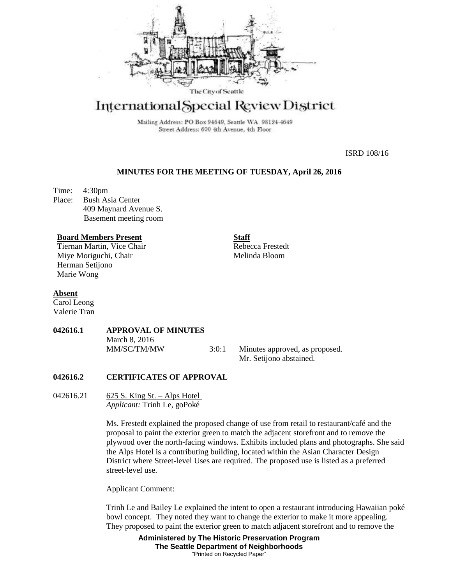

# International Special Review District

Mailing Address: PO Box 94649, Seattle WA 98124-4649 Street Address: 600 4th Avenue, 4th Floor

ISRD 108/16

## **MINUTES FOR THE MEETING OF TUESDAY, April 26, 2016**

Time: 4:30pm Place: Bush Asia Center 409 Maynard Avenue S. Basement meeting room

### **Board Members Present**

Tiernan Martin, Vice Chair Miye Moriguchi, Chair Herman Setijono Marie Wong

**Staff** Rebecca Frestedt Melinda Bloom

### **Absent**

Carol Leong Valerie Tran

# **042616.1 APPROVAL OF MINUTES**

March 8, 2016

MM/SC/TM/MW 3:0:1 Minutes approved, as proposed. Mr. Setijono abstained.

# **042616.2 CERTIFICATES OF APPROVAL**

042616.21 625 S. King St. – Alps Hotel *Applicant:* Trinh Le, goPoké

> Ms. Frestedt explained the proposed change of use from retail to restaurant/café and the proposal to paint the exterior green to match the adjacent storefront and to remove the plywood over the north-facing windows. Exhibits included plans and photographs. She said the Alps Hotel is a contributing building, located within the Asian Character Design District where Street-level Uses are required. The proposed use is listed as a preferred street-level use.

Applicant Comment:

Trinh Le and Bailey Le explained the intent to open a restaurant introducing Hawaiian poké bowl concept. They noted they want to change the exterior to make it more appealing. They proposed to paint the exterior green to match adjacent storefront and to remove the

> **Administered by The Historic Preservation Program The Seattle Department of Neighborhoods** "Printed on Recycled Paper"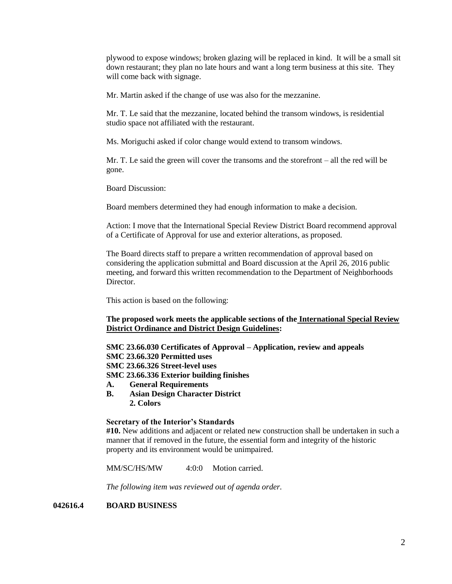plywood to expose windows; broken glazing will be replaced in kind. It will be a small sit down restaurant; they plan no late hours and want a long term business at this site. They will come back with signage.

Mr. Martin asked if the change of use was also for the mezzanine.

Mr. T. Le said that the mezzanine, located behind the transom windows, is residential studio space not affiliated with the restaurant.

Ms. Moriguchi asked if color change would extend to transom windows.

Mr. T. Le said the green will cover the transoms and the storefront – all the red will be gone.

Board Discussion:

Board members determined they had enough information to make a decision.

Action: I move that the International Special Review District Board recommend approval of a Certificate of Approval for use and exterior alterations, as proposed.

The Board directs staff to prepare a written recommendation of approval based on considering the application submittal and Board discussion at the April 26, 2016 public meeting, and forward this written recommendation to the Department of Neighborhoods Director.

This action is based on the following:

# **The proposed work meets the applicable sections of the International Special Review District Ordinance and District Design Guidelines:**

**SMC 23.66.030 Certificates of Approval – Application, review and appeals SMC 23.66.320 Permitted uses SMC 23.66.326 Street-level uses**

**SMC 23.66.336 Exterior building finishes**

- **A. General Requirements**
- **B. Asian Design Character District 2. Colors**

# **Secretary of the Interior's Standards**

**#10.** New additions and adjacent or related new construction shall be undertaken in such a manner that if removed in the future, the essential form and integrity of the historic property and its environment would be unimpaired.

MM/SC/HS/MW 4:0:0 Motion carried.

*The following item was reviewed out of agenda order.*

# **042616.4 BOARD BUSINESS**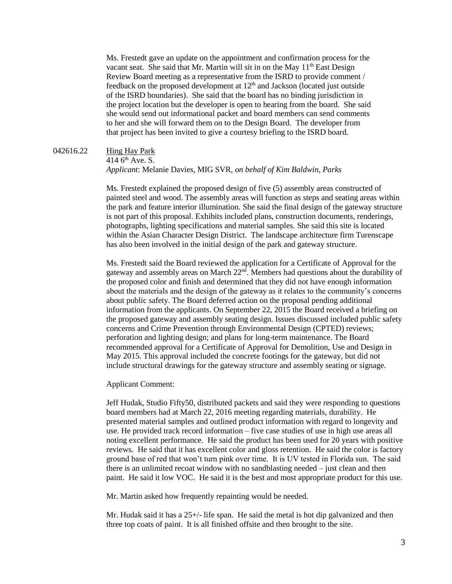Ms. Frestedt gave an update on the appointment and confirmation process for the vacant seat. She said that Mr. Martin will sit in on the May  $11<sup>th</sup>$  East Design Review Board meeting as a representative from the ISRD to provide comment / feedback on the proposed development at  $12<sup>th</sup>$  and Jackson (located just outside of the ISRD boundaries). She said that the board has no binding jurisdiction in the project location but the developer is open to hearing from the board. She said she would send out informational packet and board members can send comments to her and she will forward them on to the Design Board. The developer from that project has been invited to give a courtesy briefing to the ISRD board.

#### 042616.22 Hing Hay Park

# 414  $6<sup>th</sup>$  Ave. S.

## *Applicant*: Melanie Davies, MIG SVR, *on behalf of Kim Baldwin, Parks*

Ms. Frestedt explained the proposed design of five (5) assembly areas constructed of painted steel and wood. The assembly areas will function as steps and seating areas within the park and feature interior illumination. She said the final design of the gateway structure is not part of this proposal. Exhibits included plans, construction documents, renderings, photographs, lighting specifications and material samples. She said this site is located within the Asian Character Design District. The landscape architecture firm Turenscape has also been involved in the initial design of the park and gateway structure.

Ms. Frestedt said the Board reviewed the application for a Certificate of Approval for the gateway and assembly areas on March 22<sup>nd</sup>. Members had questions about the durability of the proposed color and finish and determined that they did not have enough information about the materials and the design of the gateway as it relates to the community's concerns about public safety. The Board deferred action on the proposal pending additional information from the applicants. On September 22, 2015 the Board received a briefing on the proposed gateway and assembly seating design. Issues discussed included public safety concerns and Crime Prevention through Environmental Design (CPTED) reviews; perforation and lighting design; and plans for long-term maintenance. The Board recommended approval for a Certificate of Approval for Demolition, Use and Design in May 2015. This approval included the concrete footings for the gateway, but did not include structural drawings for the gateway structure and assembly seating or signage.

Applicant Comment:

Jeff Hudak, Studio Fifty50, distributed packets and said they were responding to questions board members had at March 22, 2016 meeting regarding materials, durability. He presented material samples and outlined product information with regard to longevity and use. He provided track record information – five case studies of use in high use areas all noting excellent performance. He said the product has been used for 20 years with positive reviews. He said that it has excellent color and gloss retention. He said the color is factory ground base of red that won't turn pink over time. It is UV tested in Florida sun. The said there is an unlimited recoat window with no sandblasting needed – just clean and then paint. He said it low VOC. He said it is the best and most appropriate product for this use.

Mr. Martin asked how frequently repainting would be needed.

Mr. Hudak said it has a 25+/- life span. He said the metal is hot dip galvanized and then three top coats of paint. It is all finished offsite and then brought to the site.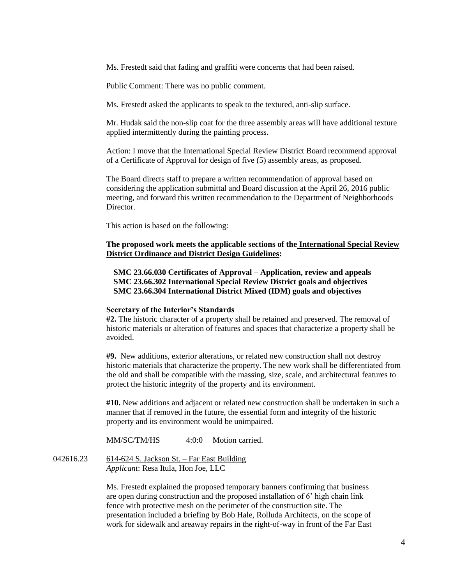Ms. Frestedt said that fading and graffiti were concerns that had been raised.

Public Comment: There was no public comment.

Ms. Frestedt asked the applicants to speak to the textured, anti-slip surface.

Mr. Hudak said the non-slip coat for the three assembly areas will have additional texture applied intermittently during the painting process.

Action: I move that the International Special Review District Board recommend approval of a Certificate of Approval for design of five (5) assembly areas, as proposed.

The Board directs staff to prepare a written recommendation of approval based on considering the application submittal and Board discussion at the April 26, 2016 public meeting, and forward this written recommendation to the Department of Neighborhoods **Director** 

This action is based on the following:

## **The proposed work meets the applicable sections of the International Special Review District Ordinance and District Design Guidelines:**

**SMC 23.66.030 Certificates of Approval – Application, review and appeals SMC 23.66.302 International Special Review District goals and objectives SMC 23.66.304 International District Mixed (IDM) goals and objectives**

### **Secretary of the Interior's Standards**

**#2.** The historic character of a property shall be retained and preserved. The removal of historic materials or alteration of features and spaces that characterize a property shall be avoided.

**#9.** New additions, exterior alterations, or related new construction shall not destroy historic materials that characterize the property. The new work shall be differentiated from the old and shall be compatible with the massing, size, scale, and architectural features to protect the historic integrity of the property and its environment.

**#10.** New additions and adjacent or related new construction shall be undertaken in such a manner that if removed in the future, the essential form and integrity of the historic property and its environment would be unimpaired.

MM/SC/TM/HS 4:0:0 Motion carried.

042616.23 614-624 S. Jackson St. – Far East Building *Applicant*: Resa Itula, Hon Joe, LLC

> Ms. Frestedt explained the proposed temporary banners confirming that business are open during construction and the proposed installation of 6' high chain link fence with protective mesh on the perimeter of the construction site. The presentation included a briefing by Bob Hale, Rolluda Architects, on the scope of work for sidewalk and areaway repairs in the right-of-way in front of the Far East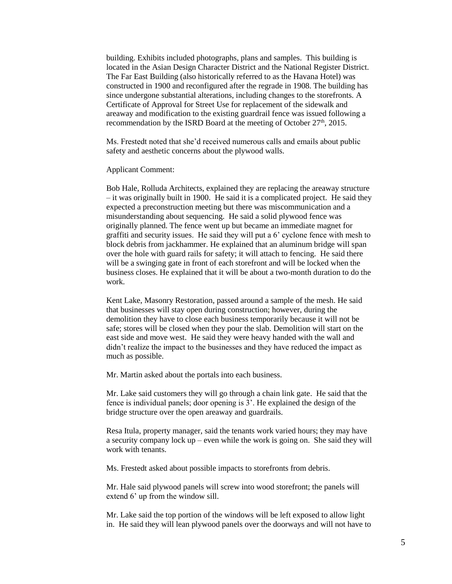building. Exhibits included photographs, plans and samples. This building is located in the Asian Design Character District and the National Register District. The Far East Building (also historically referred to as the Havana Hotel) was constructed in 1900 and reconfigured after the regrade in 1908. The building has since undergone substantial alterations, including changes to the storefronts. A Certificate of Approval for Street Use for replacement of the sidewalk and areaway and modification to the existing guardrail fence was issued following a recommendation by the ISRD Board at the meeting of October 27<sup>th</sup>, 2015.

Ms. Frestedt noted that she'd received numerous calls and emails about public safety and aesthetic concerns about the plywood walls.

Applicant Comment:

Bob Hale, Rolluda Architects, explained they are replacing the areaway structure – it was originally built in 1900. He said it is a complicated project. He said they expected a preconstruction meeting but there was miscommunication and a misunderstanding about sequencing. He said a solid plywood fence was originally planned. The fence went up but became an immediate magnet for graffiti and security issues. He said they will put a 6' cyclone fence with mesh to block debris from jackhammer. He explained that an aluminum bridge will span over the hole with guard rails for safety; it will attach to fencing. He said there will be a swinging gate in front of each storefront and will be locked when the business closes. He explained that it will be about a two-month duration to do the work.

Kent Lake, Masonry Restoration, passed around a sample of the mesh. He said that businesses will stay open during construction; however, during the demolition they have to close each business temporarily because it will not be safe; stores will be closed when they pour the slab. Demolition will start on the east side and move west. He said they were heavy handed with the wall and didn't realize the impact to the businesses and they have reduced the impact as much as possible.

Mr. Martin asked about the portals into each business.

Mr. Lake said customers they will go through a chain link gate. He said that the fence is individual panels; door opening is 3'. He explained the design of the bridge structure over the open areaway and guardrails.

Resa Itula, property manager, said the tenants work varied hours; they may have a security company lock up – even while the work is going on. She said they will work with tenants.

Ms. Frestedt asked about possible impacts to storefronts from debris.

Mr. Hale said plywood panels will screw into wood storefront; the panels will extend 6' up from the window sill.

Mr. Lake said the top portion of the windows will be left exposed to allow light in. He said they will lean plywood panels over the doorways and will not have to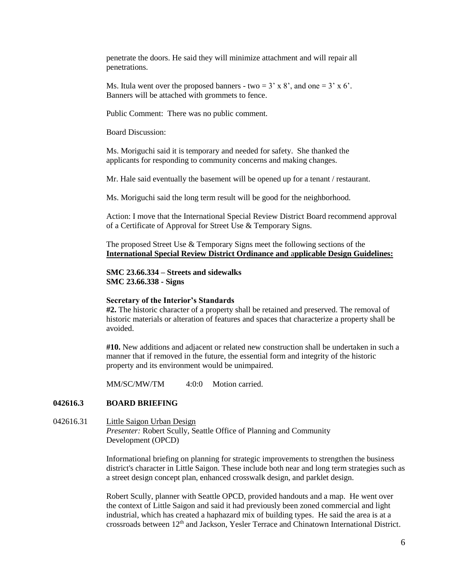penetrate the doors. He said they will minimize attachment and will repair all penetrations.

Ms. Itula went over the proposed banners - two =  $3' \times 8'$ , and one =  $3' \times 6'$ . Banners will be attached with grommets to fence.

Public Comment: There was no public comment.

Board Discussion:

Ms. Moriguchi said it is temporary and needed for safety. She thanked the applicants for responding to community concerns and making changes.

Mr. Hale said eventually the basement will be opened up for a tenant / restaurant.

Ms. Moriguchi said the long term result will be good for the neighborhood.

Action: I move that the International Special Review District Board recommend approval of a Certificate of Approval for Street Use & Temporary Signs.

The proposed Street Use & Temporary Signs meet the following sections of the **International Special Review District Ordinance and** a**pplicable Design Guidelines:**

**SMC 23.66.334 – Streets and sidewalks SMC 23.66.338 - Signs**

### **Secretary of the Interior's Standards**

**#2.** The historic character of a property shall be retained and preserved. The removal of historic materials or alteration of features and spaces that characterize a property shall be avoided.

**#10.** New additions and adjacent or related new construction shall be undertaken in such a manner that if removed in the future, the essential form and integrity of the historic property and its environment would be unimpaired.

MM/SC/MW/TM 4:0:0 Motion carried.

### **042616.3 BOARD BRIEFING**

042616.31 Little Saigon Urban Design *Presenter:* Robert Scully, Seattle Office of Planning and Community Development (OPCD)

> Informational briefing on planning for strategic improvements to strengthen the business district's character in Little Saigon. These include both near and long term strategies such as a street design concept plan, enhanced crosswalk design, and parklet design.

Robert Scully, planner with Seattle OPCD, provided handouts and a map. He went over the context of Little Saigon and said it had previously been zoned commercial and light industrial, which has created a haphazard mix of building types. He said the area is at a crossroads between  $12<sup>th</sup>$  and Jackson, Yesler Terrace and Chinatown International District.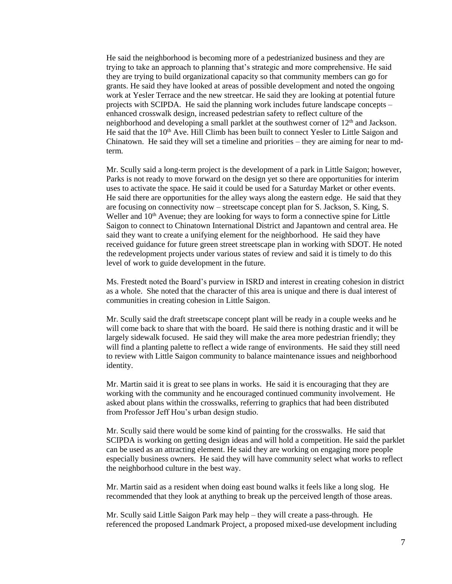He said the neighborhood is becoming more of a pedestrianized business and they are trying to take an approach to planning that's strategic and more comprehensive. He said they are trying to build organizational capacity so that community members can go for grants. He said they have looked at areas of possible development and noted the ongoing work at Yesler Terrace and the new streetcar. He said they are looking at potential future projects with SCIPDA. He said the planning work includes future landscape concepts – enhanced crosswalk design, increased pedestrian safety to reflect culture of the neighborhood and developing a small parklet at the southwest corner of  $12<sup>th</sup>$  and Jackson. He said that the 10th Ave. Hill Climb has been built to connect Yesler to Little Saigon and Chinatown. He said they will set a timeline and priorities – they are aiming for near to mdterm.

Mr. Scully said a long-term project is the development of a park in Little Saigon; however, Parks is not ready to move forward on the design yet so there are opportunities for interim uses to activate the space. He said it could be used for a Saturday Market or other events. He said there are opportunities for the alley ways along the eastern edge. He said that they are focusing on connectivity now – streetscape concept plan for S. Jackson, S. King, S. Weller and  $10<sup>th</sup>$  Avenue; they are looking for ways to form a connective spine for Little Saigon to connect to Chinatown International District and Japantown and central area. He said they want to create a unifying element for the neighborhood. He said they have received guidance for future green street streetscape plan in working with SDOT. He noted the redevelopment projects under various states of review and said it is timely to do this level of work to guide development in the future.

Ms. Frestedt noted the Board's purview in ISRD and interest in creating cohesion in district as a whole. She noted that the character of this area is unique and there is dual interest of communities in creating cohesion in Little Saigon.

Mr. Scully said the draft streetscape concept plant will be ready in a couple weeks and he will come back to share that with the board. He said there is nothing drastic and it will be largely sidewalk focused. He said they will make the area more pedestrian friendly; they will find a planting palette to reflect a wide range of environments. He said they still need to review with Little Saigon community to balance maintenance issues and neighborhood identity.

Mr. Martin said it is great to see plans in works. He said it is encouraging that they are working with the community and he encouraged continued community involvement. He asked about plans within the crosswalks, referring to graphics that had been distributed from Professor Jeff Hou's urban design studio.

Mr. Scully said there would be some kind of painting for the crosswalks. He said that SCIPDA is working on getting design ideas and will hold a competition. He said the parklet can be used as an attracting element. He said they are working on engaging more people especially business owners. He said they will have community select what works to reflect the neighborhood culture in the best way.

Mr. Martin said as a resident when doing east bound walks it feels like a long slog. He recommended that they look at anything to break up the perceived length of those areas.

Mr. Scully said Little Saigon Park may help – they will create a pass-through. He referenced the proposed Landmark Project, a proposed mixed-use development including